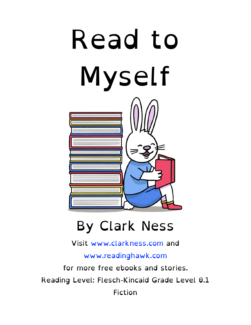

#### By Clark Ness

Visit [www.clarkness.com](http://www.clarkness.com) and

[www.readinghawk.com](http://www.readinghawk.com)

for more free ebooks and stories. Reading Level: Flesch-Kincaid Grade Level 0.1 Fiction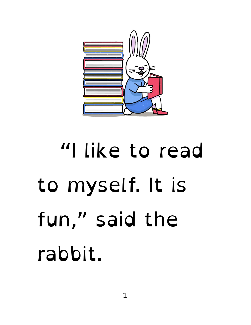

### "I like to read to myself. It is fun," said the rabbit.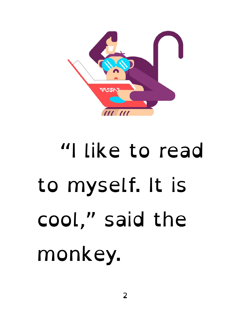

### "I like to read to myself. It is cool," said the monkey.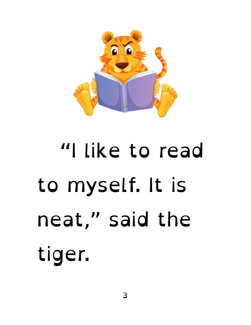

# "I like to read to myself. It is neat," said the tiger.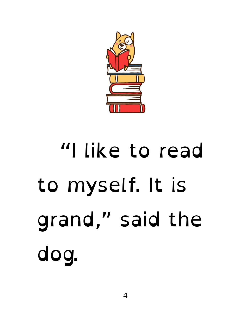

# "I like to read to myself. It is grand," said the dog.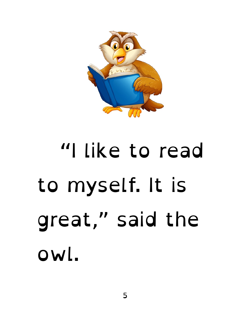

#### "I like to read to myself. It is great," said the owl.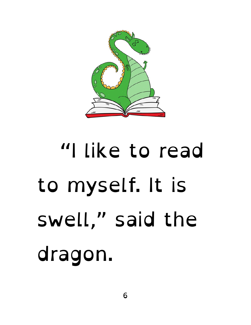

# "I like to read to myself. It is swell," said the dragon.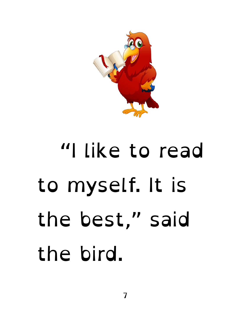

#### "I like to read to myself. It is the best," said the bird.